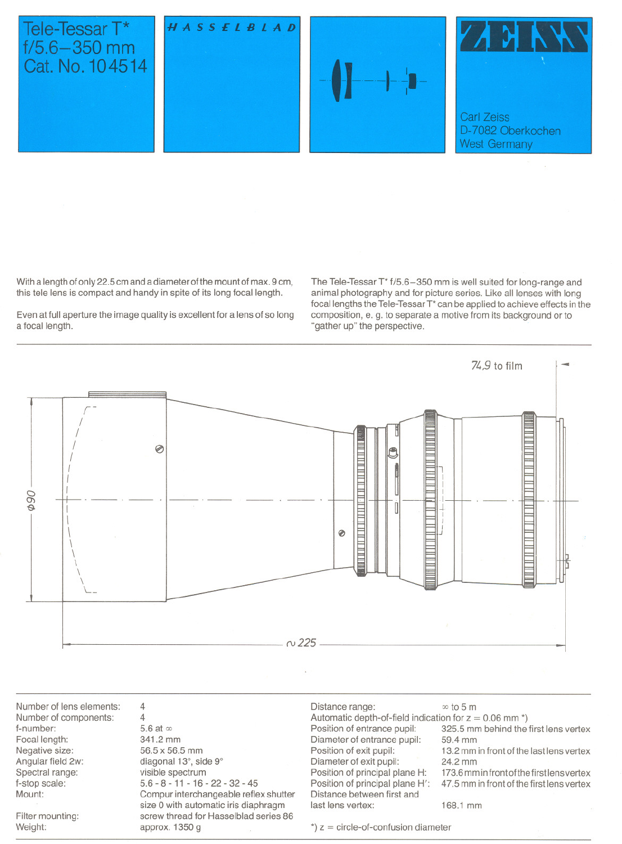## Tele-Tessar T\*  $f/5.6 - 350$  mm Cat. No. 104514







With a length of only 22.5 cm and a diameter of the mount of max. 9 cm, this tele lens is compact and handy in spite of its long focal length.

Even at full aperture the image quality is excellent for a lens of so long a focal length.

The Tele-Tessar T<sup>\*</sup> f/5.6-350 mm is well suited for long-range and animal photography and for picture series. Like all lenses with long focal lengths the Tele-Tessar T\* can be applied to achieve effects in the composition, e. g. to separate a motive from its background or to "gather up" the perspective.



Number of lens elements: Number of components: f-number: Focal length: Negative size: Angular field 2w: Spectral range: f-stop scala: Mount: Filter mounting: Weight: 4 4 5.6 at  $\infty$ 341.2 mm 56.5 x 56.5 mm diagonal 13°, side 9° visible spectrum 5.6 - 8 - **11** - 16 - 22 - 32 - 45 Compur interchangeable reflex shutter size 0 with automatie iris diaphragm screw thread for Hasselblad series 86 approx. 1350 g Distance range:  $\infty$  to 5 m Automatic depth-of-field indication for  $z = 0.06$  mm  $\text{*}$ )<br>Position of entrance pupil: 325.5 mm behind the 325.5 mm behind the first lens vertex<br>59.4 mm Diameter of entrance pupil:<br>Position of exit pupil: 13.2 mm in front of the last lens vertex<br>24.2 mm Diameter of exit pupil:<br>Position of principal plane H: Position of principal plane H: 173.6 mm in front of the first lens vertex<br>Position of principal plane H': 47.5 mm in front of the first lens vertex 47.5 mm in front of the first lens vertex Distance between first and last lens vertex: 168.1 mm  $*$ )  $z =$  circle-of-confusion diameter